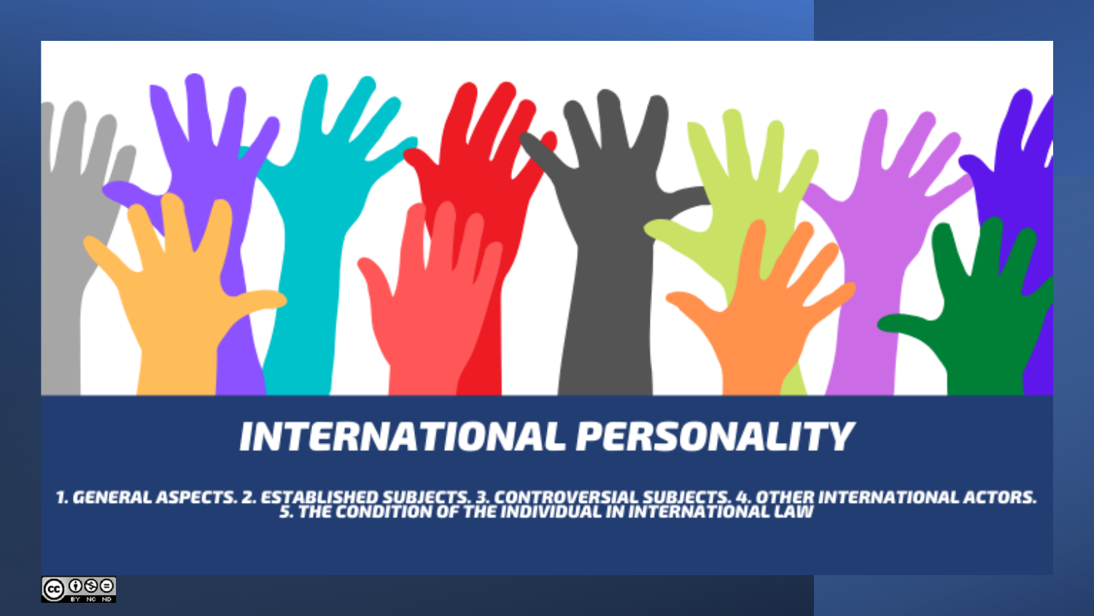# **LLAMM**

# **INTERNATIONAL PERSONALITY**

1. GENERAL ASPECTS. 2. ESTABLISHED SUBJECTS. 3. CONTROVERSIAL SUBJECTS. 4. OTHER INTERNATIONAL ACTORS.<br>5. THE CONDITION OF THE INDIVIDUAL IN INTERNATIONAL LAW

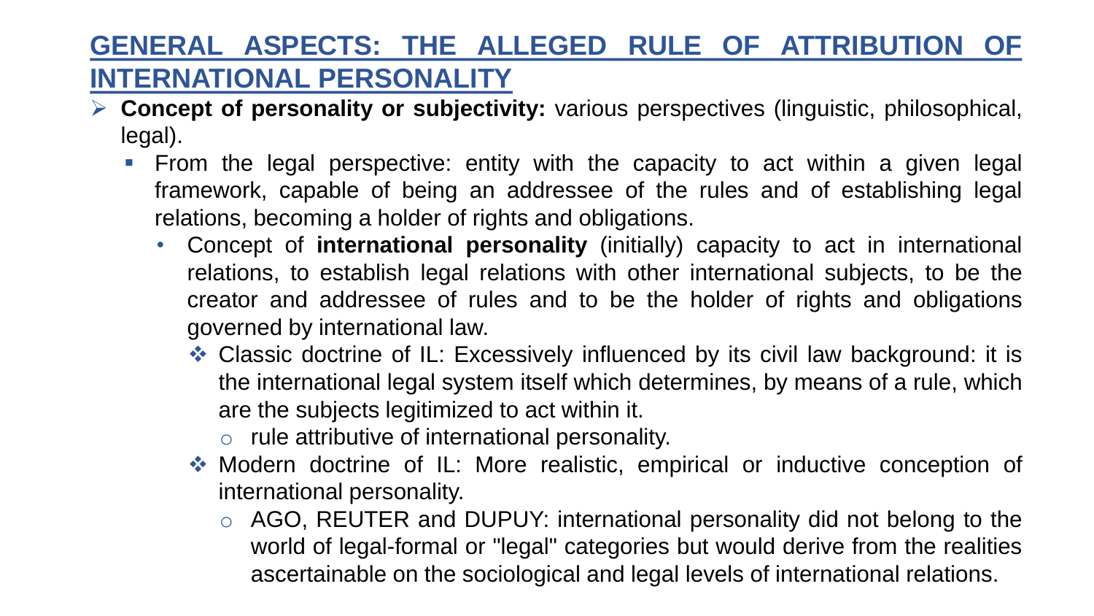## **GENERAL ASPECTS: THE ALLEGED RULE OF ATTRIBUTION OF INTERNATIONAL PERSONALITY**

- ➢ **Concept of personality or subjectivity:** various perspectives (linguistic, philosophical, legal).
	- **•** From the legal perspective: entity with the capacity to act within a given legal framework, capable of being an addressee of the rules and of establishing legal relations, becoming a holder of rights and obligations.
		- Concept of **international personality** (initially) capacity to act in international relations, to establish legal relations with other international subjects, to be the creator and addressee of rules and to be the holder of rights and obligations governed by international law.
			- ❖ Classic doctrine of IL: Excessively influenced by its civil law background: it is the international legal system itself which determines, by means of a rule, which are the subjects legitimized to act within it.
				- o rule attributive of international personality.
			- ❖ Modern doctrine of IL: More realistic, empirical or inductive conception of international personality.
				- o AGO, REUTER and DUPUY: international personality did not belong to the world of legal-formal or "legal" categories but would derive from the realities ascertainable on the sociological and legal levels of international relations.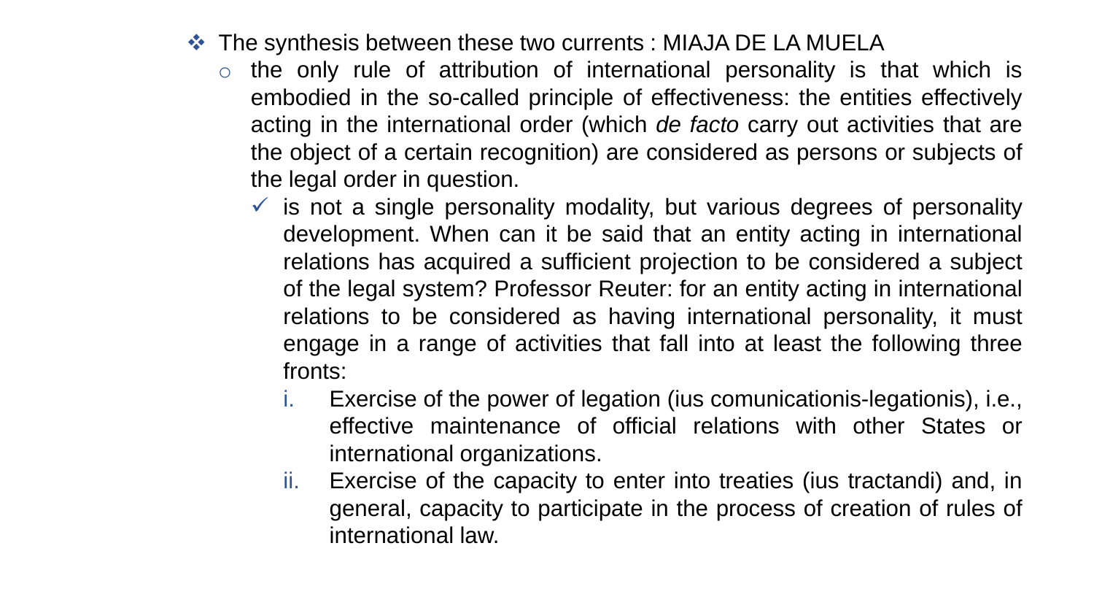- ❖ The synthesis between these two currents : MIAJA DE LA MUELA
	- $\circ$  the only rule of attribution of international personality is that which is embodied in the so-called principle of effectiveness: the entities effectively acting in the international order (which *de facto* carry out activities that are the object of a certain recognition) are considered as persons or subjects of the legal order in question.
		- $\checkmark$  is not a single personality modality, but various degrees of personality development. When can it be said that an entity acting in international relations has acquired a sufficient projection to be considered a subject of the legal system? Professor Reuter: for an entity acting in international relations to be considered as having international personality, it must engage in a range of activities that fall into at least the following three fronts:
			- i. Exercise of the power of legation (ius comunicationis-legationis), i.e., effective maintenance of official relations with other States or international organizations.
			- ii. Exercise of the capacity to enter into treaties (ius tractandi) and, in general, capacity to participate in the process of creation of rules of international law.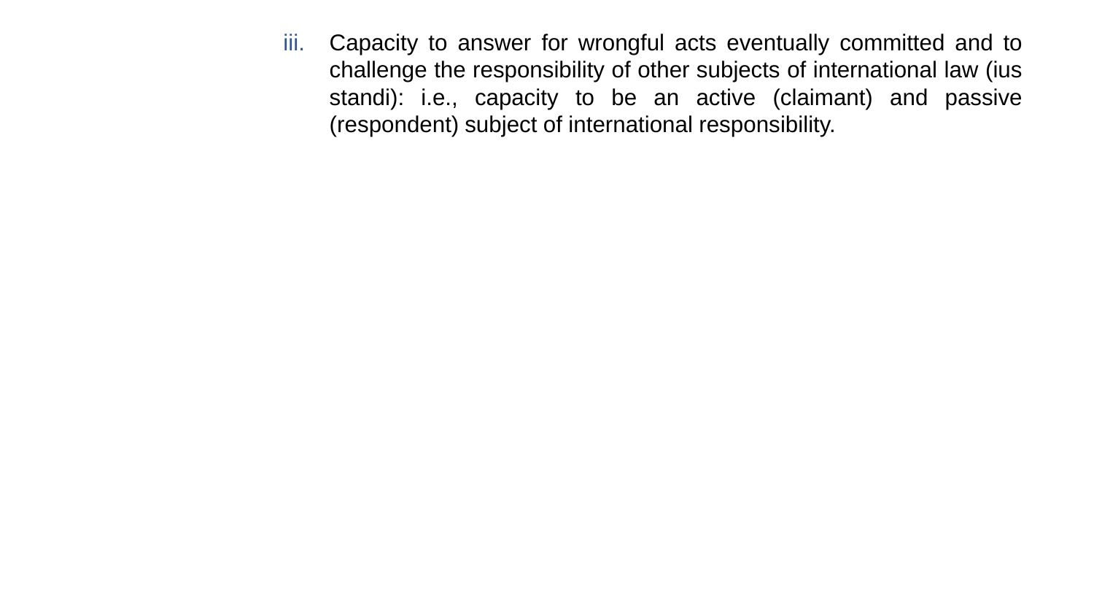iii. Capacity to answer for wrongful acts eventually committed and to challenge the responsibility of other subjects of international law (ius standi): i.e., capacity to be an active (claimant) and passive (respondent) subject of international responsibility.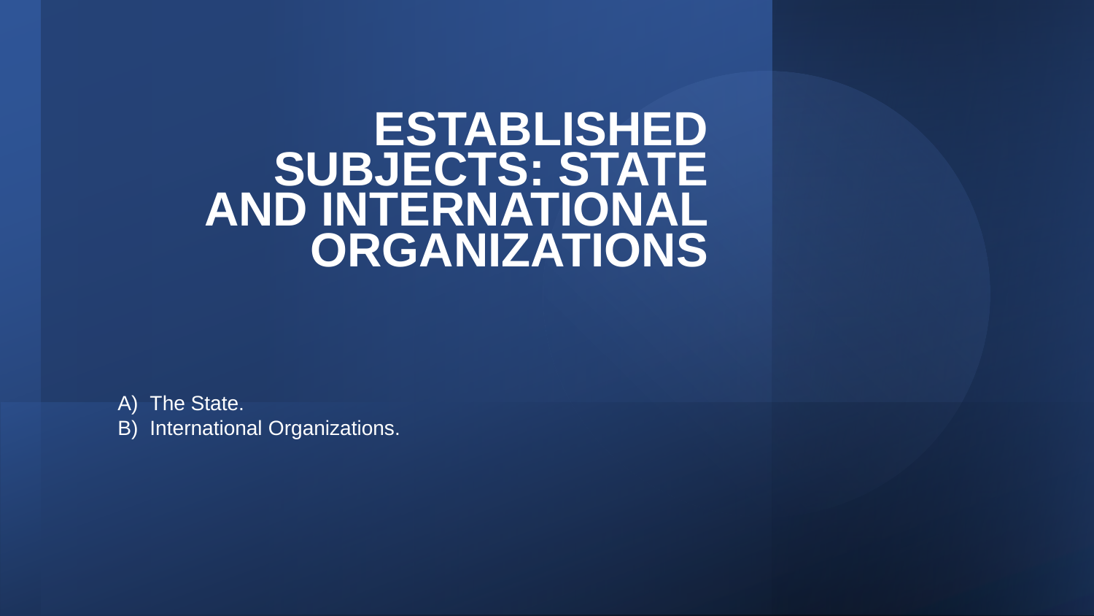# **ESTABLISHED SUBJECTS: STATE AND INTERNATIONAL ORGANIZATIONS**

A) The State. B) International Organizations.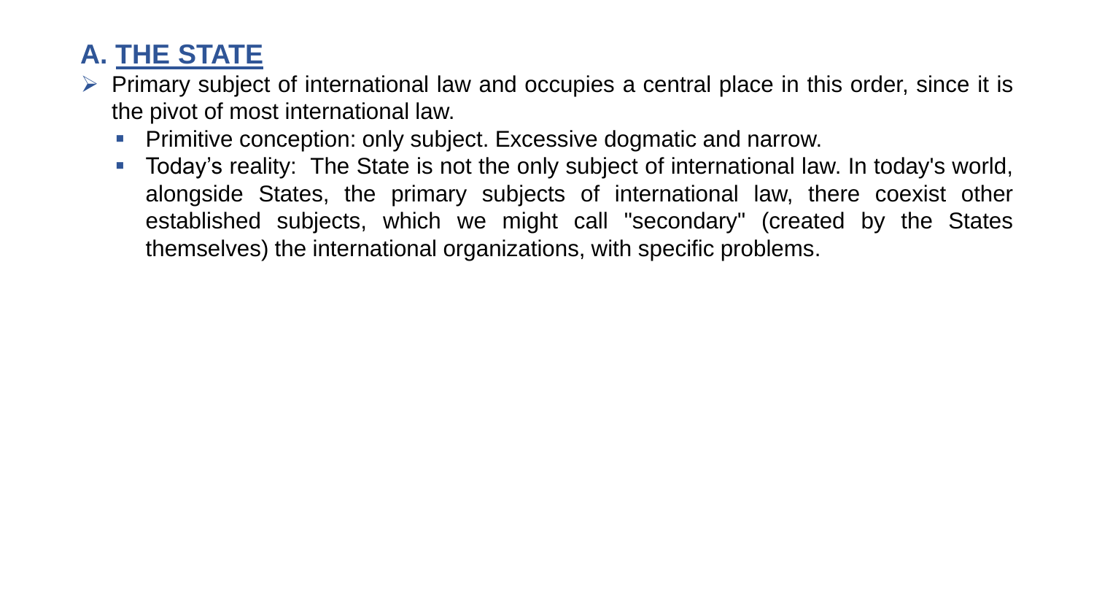# **A. THE STATE**

- $\triangleright$  Primary subject of international law and occupies a central place in this order, since it is the pivot of most international law.
	- Primitive conception: only subject. Excessive dogmatic and narrow.
	- Today's reality: The State is not the only subject of international law. In today's world, alongside States, the primary subjects of international law, there coexist other established subjects, which we might call "secondary" (created by the States themselves) the international organizations, with specific problems.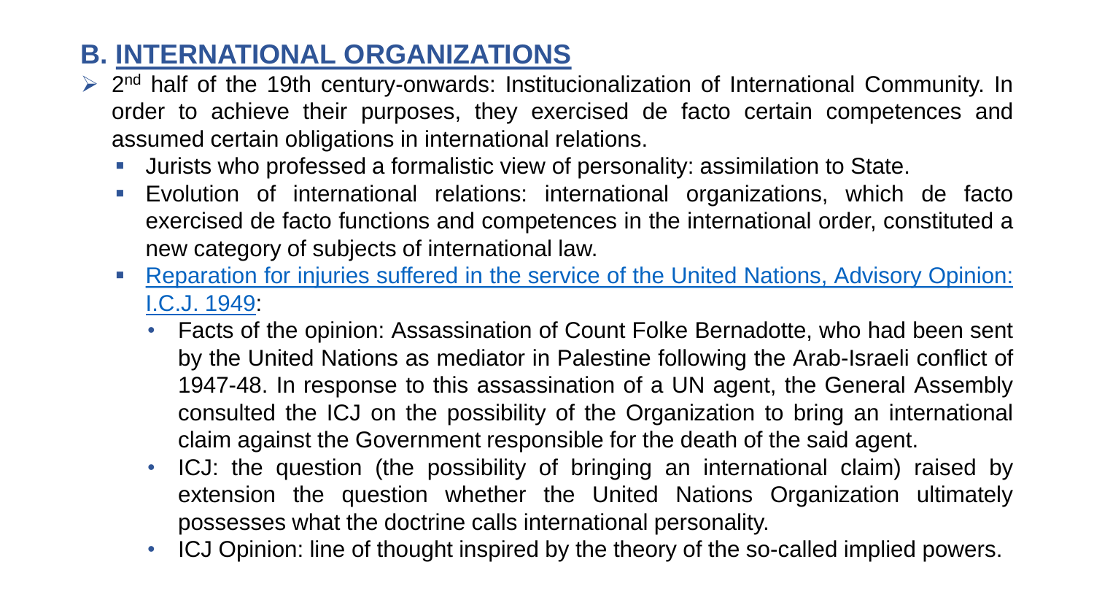# **B. INTERNATIONAL ORGANIZATIONS**

- ▶ 2<sup>nd</sup> half of the 19th century-onwards: Institucionalization of International Community. In order to achieve their purposes, they exercised de facto certain competences and assumed certain obligations in international relations.
	- **■** Jurists who professed a formalistic view of personality: assimilation to State.
	- Evolution of international relations: international organizations, which de facto exercised de facto functions and competences in the international order, constituted a new category of subjects of international law.
	- [Reparation](https://www.icj-cij.org/en/case/4) for injuries suffered in the service of the United Nations, Advisory Opinion: I.C.J. 1949:
		- Facts of the opinion: Assassination of Count Folke Bernadotte, who had been sent by the United Nations as mediator in Palestine following the Arab-Israeli conflict of 1947-48. In response to this assassination of a UN agent, the General Assembly consulted the ICJ on the possibility of the Organization to bring an international claim against the Government responsible for the death of the said agent.
		- ICJ: the question (the possibility of bringing an international claim) raised by extension the question whether the United Nations Organization ultimately possesses what the doctrine calls international personality.
		- ICJ Opinion: line of thought inspired by the theory of the so-called implied powers.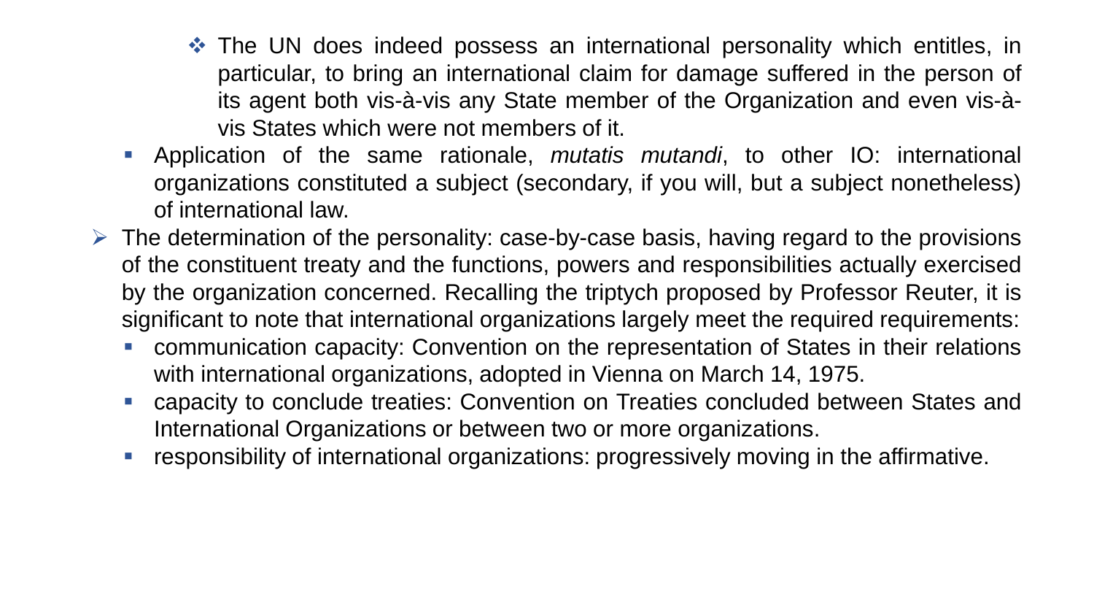- ❖ The UN does indeed possess an international personality which entitles, in particular, to bring an international claim for damage suffered in the person of its agent both vis-à-vis any State member of the Organization and even vis-àvis States which were not members of it.
- Application of the same rationale, *mutatis mutandi*, to other IO: international organizations constituted a subject (secondary, if you will, but a subject nonetheless) of international law.
- $\triangleright$  The determination of the personality: case-by-case basis, having regard to the provisions of the constituent treaty and the functions, powers and responsibilities actually exercised by the organization concerned. Recalling the triptych proposed by Professor Reuter, it is significant to note that international organizations largely meet the required requirements:
	- communication capacity: Convention on the representation of States in their relations with international organizations, adopted in Vienna on March 14, 1975.
	- capacity to conclude treaties: Convention on Treaties concluded between States and International Organizations or between two or more organizations.
	- **responsibility of international organizations: progressively moving in the affirmative.**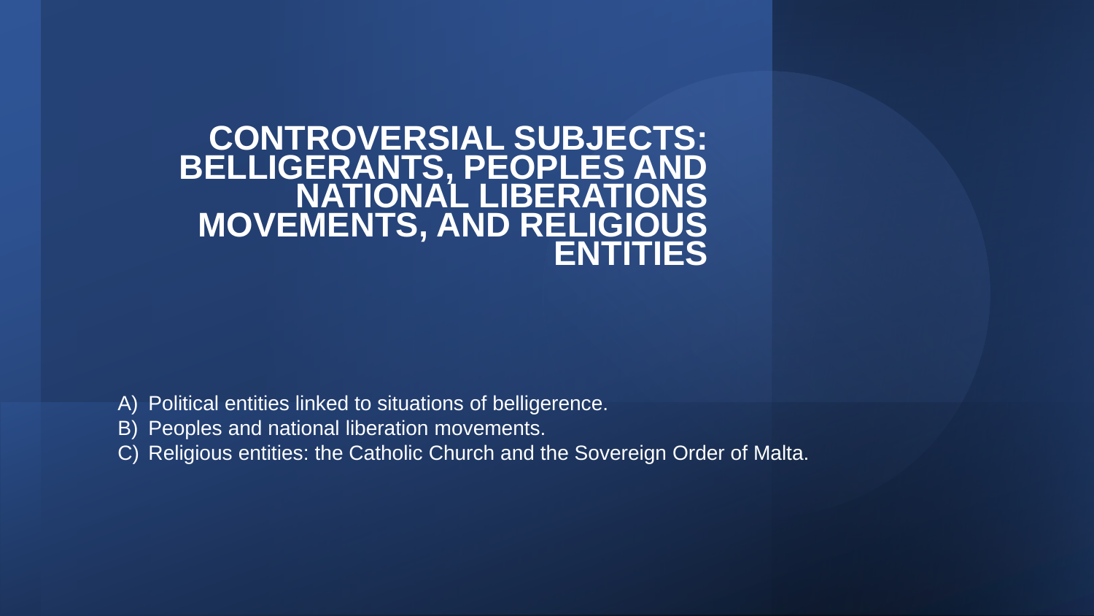**CONTROVERSIAL SUBJECTS: BELLIGERANTS, PEOPLES AND NATIONAL LIBERATIONS MOVEMENTS, AND RELIGIOUS ENTITIES** 

- A) Political entities linked to situations of belligerence.
- B) Peoples and national liberation movements.
- C) Religious entities: the Catholic Church and the Sovereign Order of Malta.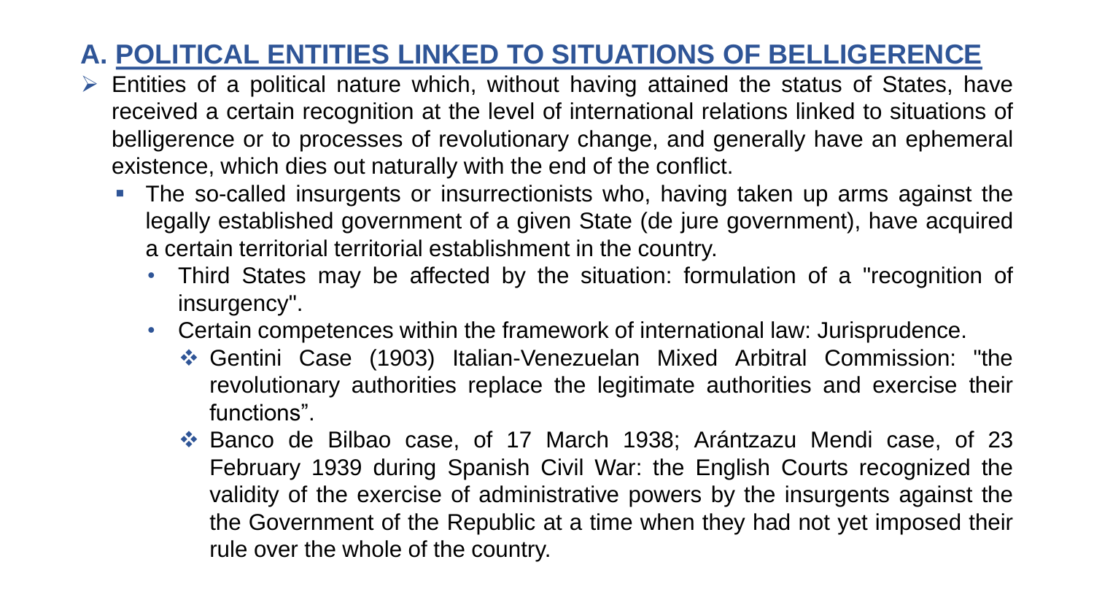# **A. POLITICAL ENTITIES LINKED TO SITUATIONS OF BELLIGERENCE**

- ➢ Entities of a political nature which, without having attained the status of States, have received a certain recognition at the level of international relations linked to situations of belligerence or to processes of revolutionary change, and generally have an ephemeral existence, which dies out naturally with the end of the conflict.
	- The so-called insurgents or insurrectionists who, having taken up arms against the legally established government of a given State (de jure government), have acquired a certain territorial territorial establishment in the country.
		- Third States may be affected by the situation: formulation of a "recognition of insurgency".
		- Certain competences within the framework of international law: Jurisprudence.
			- ❖ Gentini Case (1903) Italian-Venezuelan Mixed Arbitral Commission: "the revolutionary authorities replace the legitimate authorities and exercise their functions".
			- ❖ Banco de Bilbao case, of 17 March 1938; Arántzazu Mendi case, of 23 February 1939 during Spanish Civil War: the English Courts recognized the validity of the exercise of administrative powers by the insurgents against the the Government of the Republic at a time when they had not yet imposed their rule over the whole of the country.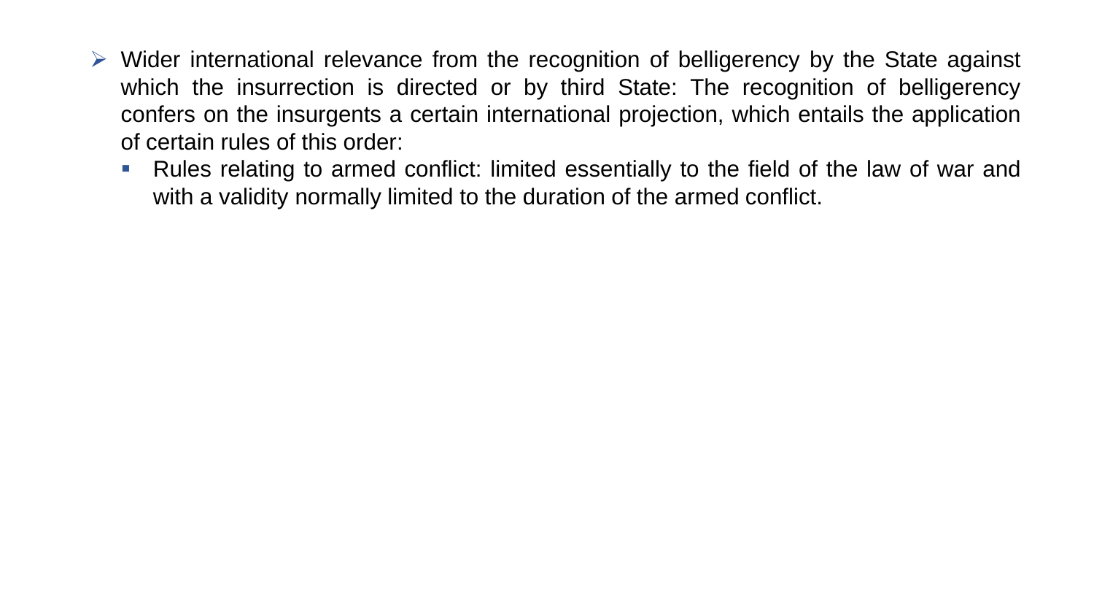- ➢ Wider international relevance from the recognition of belligerency by the State against which the insurrection is directed or by third State: The recognition of belligerency confers on the insurgents a certain international projection, which entails the application of certain rules of this order:
	- Rules relating to armed conflict: limited essentially to the field of the law of war and with a validity normally limited to the duration of the armed conflict.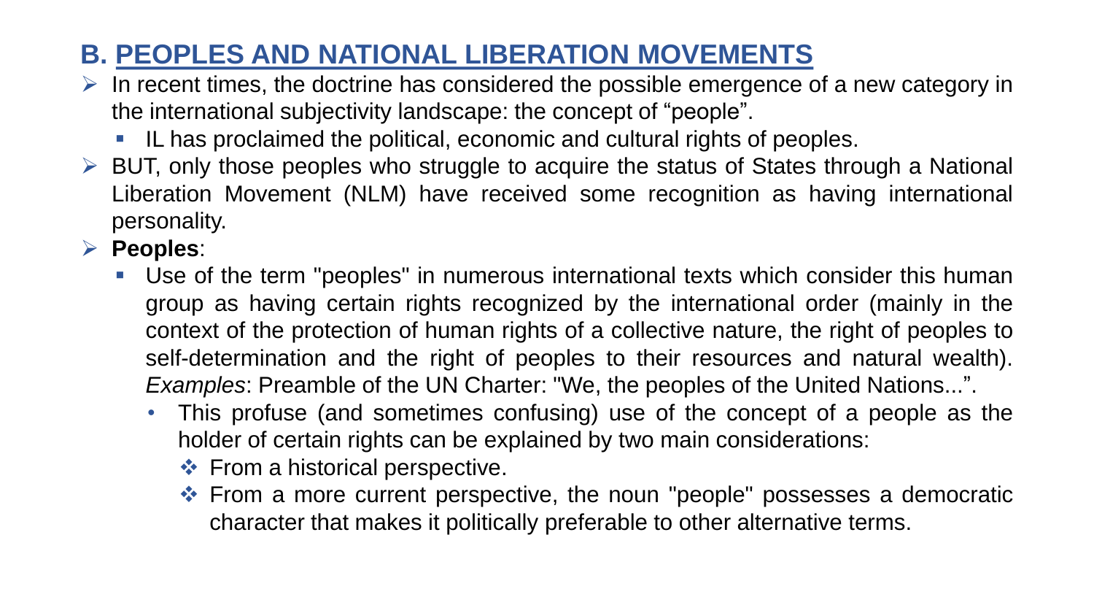# **B. PEOPLES AND NATIONAL LIBERATION MOVEMENTS**

- $\triangleright$  In recent times, the doctrine has considered the possible emergence of a new category in the international subjectivity landscape: the concept of "people".
	- IL has proclaimed the political, economic and cultural rights of peoples.
- ➢ BUT, only those peoples who struggle to acquire the status of States through a National Liberation Movement (NLM) have received some recognition as having international personality.
- ➢ **Peoples**:
	- Use of the term "peoples" in numerous international texts which consider this human group as having certain rights recognized by the international order (mainly in the context of the protection of human rights of a collective nature, the right of peoples to self-determination and the right of peoples to their resources and natural wealth). *Examples*: Preamble of the UN Charter: "We, the peoples of the United Nations...".
		- This profuse (and sometimes confusing) use of the concept of a people as the holder of certain rights can be explained by two main considerations:
			- ❖ From a historical perspective.
			- ❖ From a more current perspective, the noun "people" possesses a democratic character that makes it politically preferable to other alternative terms.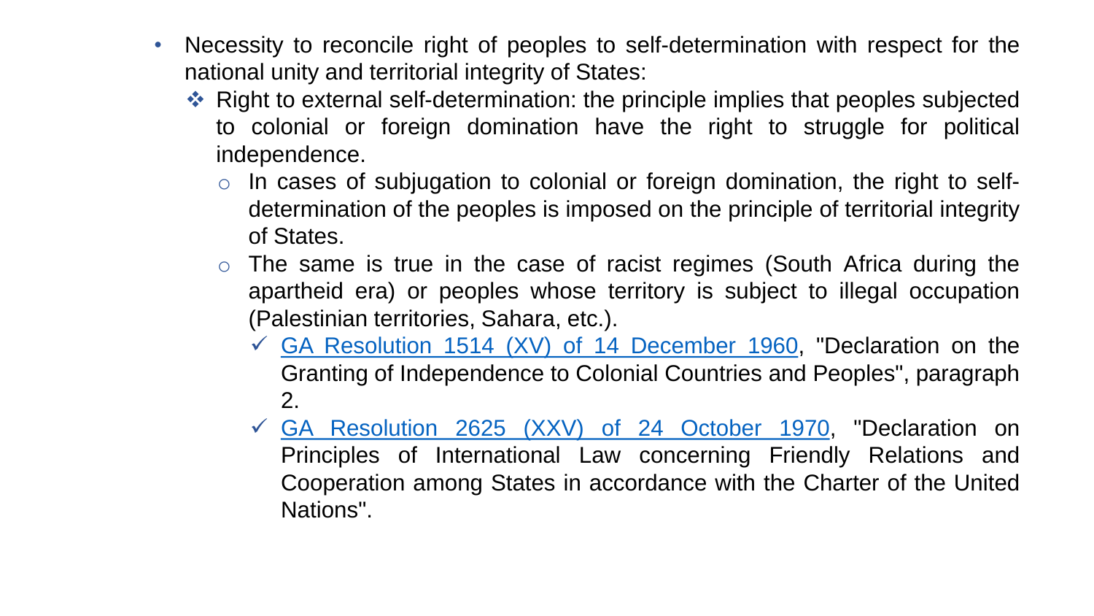- Necessity to reconcile right of peoples to self-determination with respect for the national unity and territorial integrity of States:
	- ❖ Right to external self-determination: the principle implies that peoples subjected to colonial or foreign domination have the right to struggle for political independence.
		- $\circ$  In cases of subjugation to colonial or foreign domination, the right to selfdetermination of the peoples is imposed on the principle of territorial integrity of States.
		- $\circ$  The same is true in the case of racist regimes (South Africa during the apartheid era) or peoples whose territory is subject to illegal occupation (Palestinian territories, Sahara, etc.).
			- $\checkmark$  GA [Resolution](https://undocs.org/en/A/RES/1514(XV)) 1514 (XV) of 14 December 1960, "Declaration on the Granting of Independence to Colonial Countries and Peoples", paragraph 2.
			- ✓ GA [Resolution](https://undocs.org/en/A/RES/2625(XXV)) 2625 (XXV) of 24 October 1970, "Declaration on Principles of International Law concerning Friendly Relations and Cooperation among States in accordance with the Charter of the United Nations".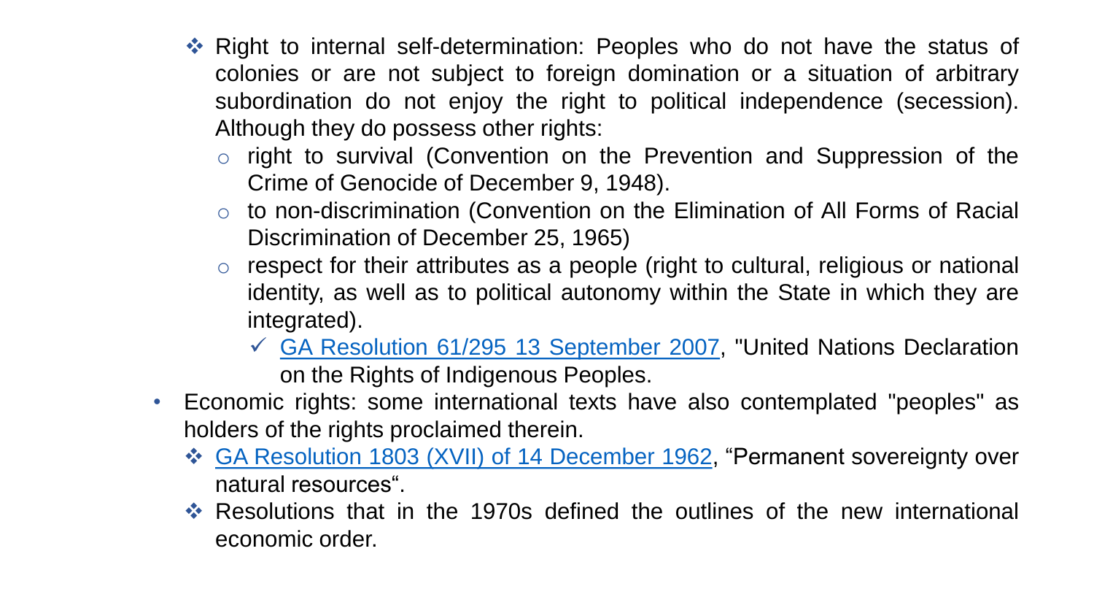- ❖ Right to internal self-determination: Peoples who do not have the status of colonies or are not subject to foreign domination or a situation of arbitrary subordination do not enjoy the right to political independence (secession). Although they do possess other rights:
	- o right to survival (Convention on the Prevention and Suppression of the Crime of Genocide of December 9, 1948).
	- o to non-discrimination (Convention on the Elimination of All Forms of Racial Discrimination of December 25, 1965)
	- respect for their attributes as a people (right to cultural, religious or national identity, as well as to political autonomy within the State in which they are integrated).
		- ✓ GA Resolution 61/295 13 [September](https://undocs.org/en/A/RES/61/295) 2007, "United Nations Declaration on the Rights of Indigenous Peoples.
- Economic rights: some international texts have also contemplated "peoples" as holders of the rights proclaimed therein.
	- ❖ GA [Resolution](https://undocs.org/en/A/RES/1803(XVII)) 1803 (XVII) of 14 December 1962, "Permanent sovereignty over natural resources".
	- ❖ Resolutions that in the 1970s defined the outlines of the new international economic order.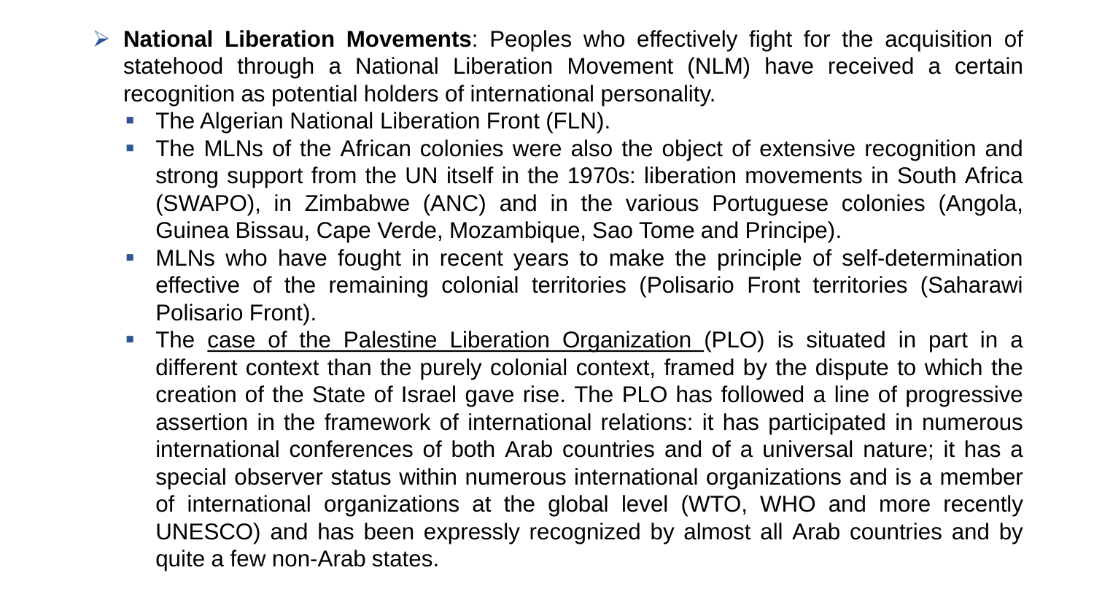- ➢ **National Liberation Movements**: Peoples who effectively fight for the acquisition of statehood through a National Liberation Movement (NLM) have received a certain recognition as potential holders of international personality.
	- The Algerian National Liberation Front (FLN).
	- The MLNs of the African colonies were also the object of extensive recognition and strong support from the UN itself in the 1970s: liberation movements in South Africa (SWAPO), in Zimbabwe (ANC) and in the various Portuguese colonies (Angola, Guinea Bissau, Cape Verde, Mozambique, Sao Tome and Principe).
	- MLNs who have fought in recent years to make the principle of self-determination effective of the remaining colonial territories (Polisario Front territories (Saharawi Polisario Front).
	- The case of the Palestine Liberation Organization (PLO) is situated in part in a different context than the purely colonial context, framed by the dispute to which the creation of the State of Israel gave rise. The PLO has followed a line of progressive assertion in the framework of international relations: it has participated in numerous international conferences of both Arab countries and of a universal nature; it has a special observer status within numerous international organizations and is a member of international organizations at the global level (WTO, WHO and more recently UNESCO) and has been expressly recognized by almost all Arab countries and by quite a few non-Arab states.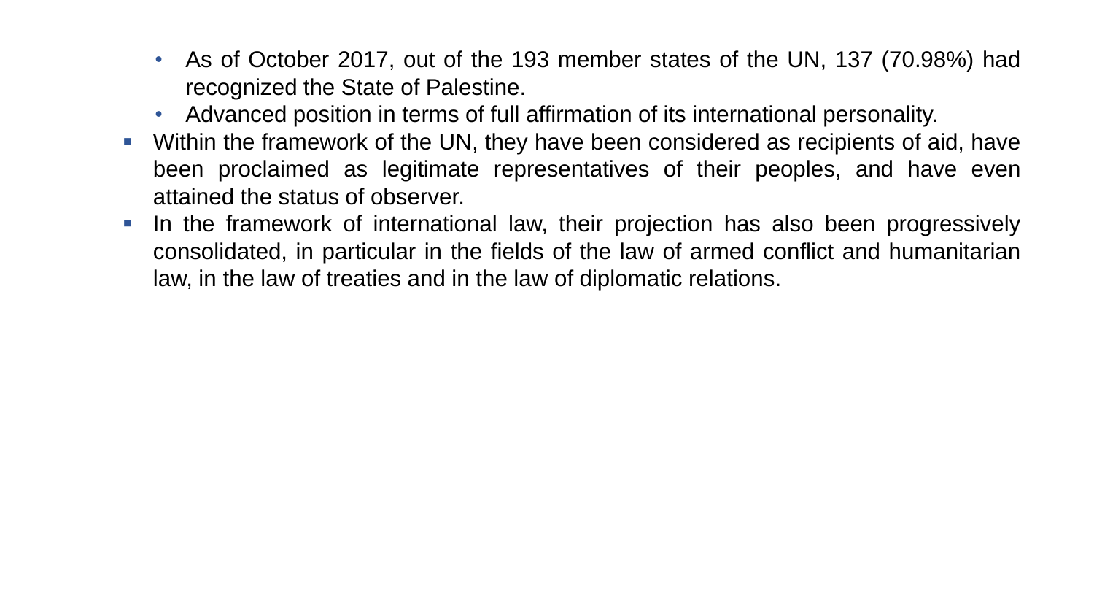- As of October 2017, out of the 193 member states of the UN, 137 (70.98%) had recognized the State of Palestine.
- Advanced position in terms of full affirmation of its international personality.
- Within the framework of the UN, they have been considered as recipients of aid, have been proclaimed as legitimate representatives of their peoples, and have even attained the status of observer.
- In the framework of international law, their projection has also been progressively consolidated, in particular in the fields of the law of armed conflict and humanitarian law, in the law of treaties and in the law of diplomatic relations.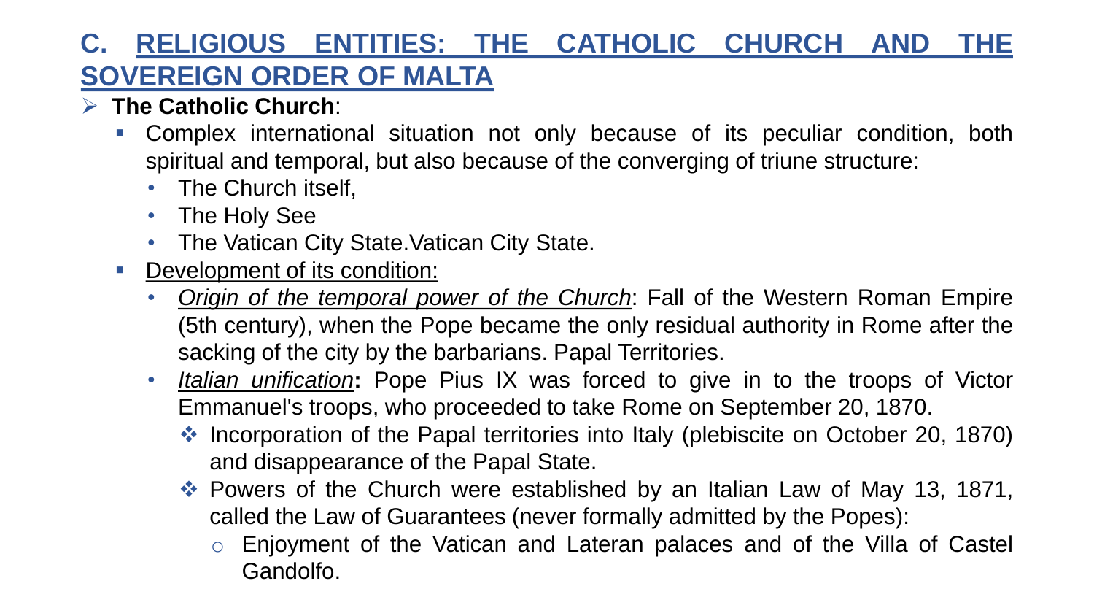# **C. RELIGIOUS ENTITIES: THE CATHOLIC CHURCH AND THE SOVEREIGN ORDER OF MALTA**

- ➢ **The Catholic Church**:
	- Complex international situation not only because of its peculiar condition, both spiritual and temporal, but also because of the converging of triune structure:
		- The Church itself,
		- The Holy See
		- The Vatican City State Vatican City State.
	- Development of its condition:
		- *Origin of the temporal power of the Church*: Fall of the Western Roman Empire (5th century), when the Pope became the only residual authority in Rome after the sacking of the city by the barbarians. Papal Territories.
		- *Italian unification***:** Pope Pius IX was forced to give in to the troops of Victor Emmanuel's troops, who proceeded to take Rome on September 20, 1870.
			- ❖ Incorporation of the Papal territories into Italy (plebiscite on October 20, 1870) and disappearance of the Papal State.
			- ❖ Powers of the Church were established by an Italian Law of May 13, 1871, called the Law of Guarantees (never formally admitted by the Popes):
				- o Enjoyment of the Vatican and Lateran palaces and of the Villa of Castel Gandolfo.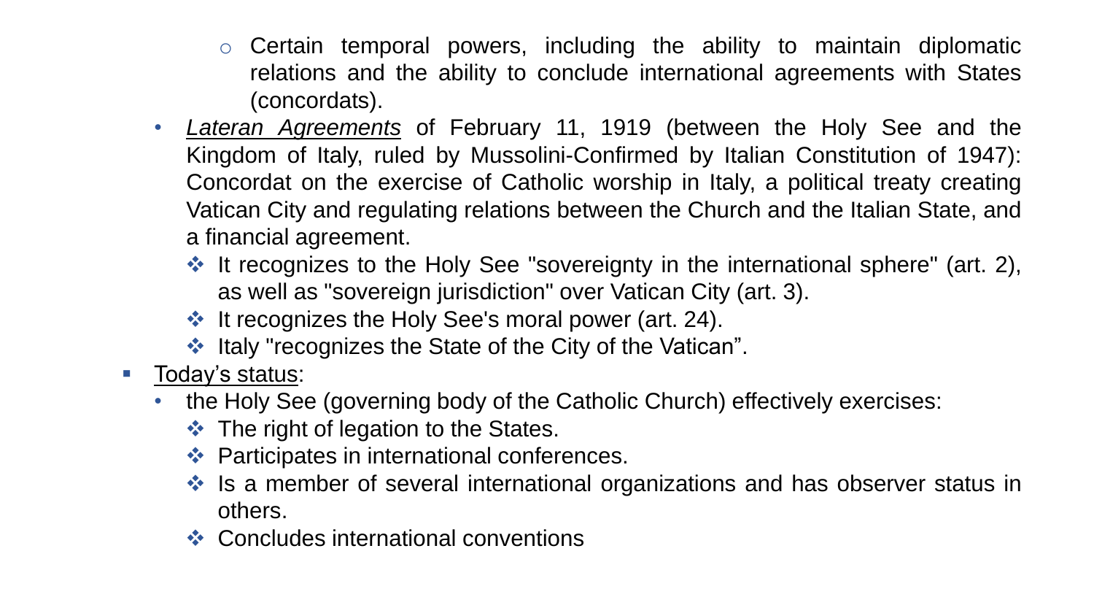- $\circ$  Certain temporal powers, including the ability to maintain diplomatic relations and the ability to conclude international agreements with States (concordats).
- *Lateran Agreements* of February 11, 1919 (between the Holy See and the Kingdom of Italy, ruled by Mussolini-Confirmed by Italian Constitution of 1947): Concordat on the exercise of Catholic worship in Italy, a political treaty creating Vatican City and regulating relations between the Church and the Italian State, and a financial agreement.
	- ❖ It recognizes to the Holy See "sovereignty in the international sphere" (art. 2), as well as "sovereign jurisdiction" over Vatican City (art. 3).
	- ❖ It recognizes the Holy See's moral power (art. 24).
	- ❖ Italy "recognizes the State of the City of the Vatican".
- Today's status:
	- the Holy See (governing body of the Catholic Church) effectively exercises:
		- ❖ The right of legation to the States.
		- ❖ Participates in international conferences.
		- ❖ Is a member of several international organizations and has observer status in others.
		- ❖ Concludes international conventions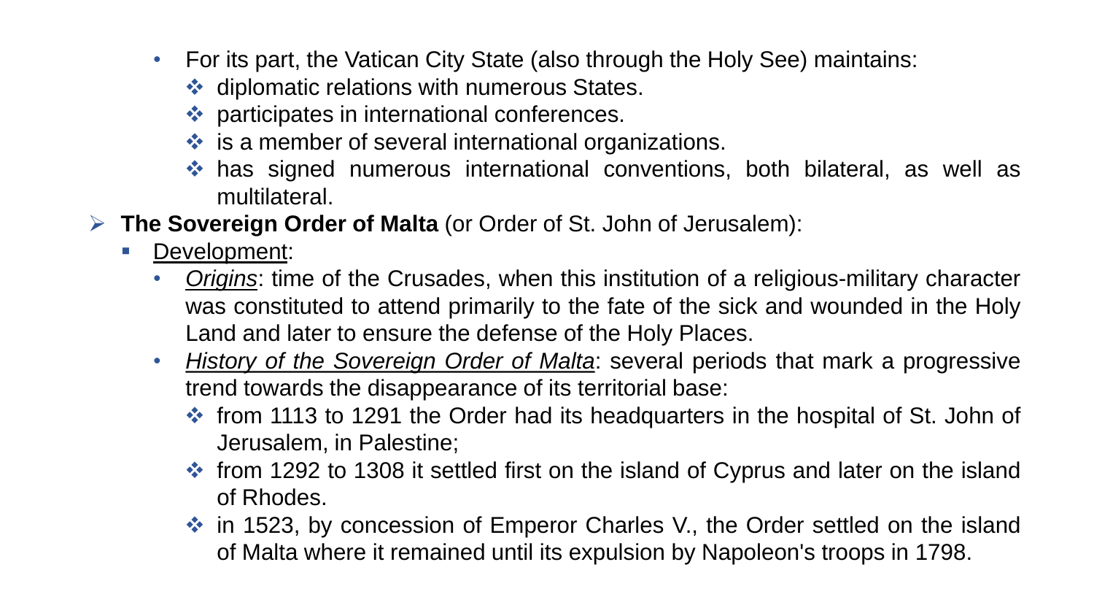- For its part, the Vatican City State (also through the Holy See) maintains:
	- ❖ diplomatic relations with numerous States.
	- ❖ participates in international conferences.
	- ❖ is a member of several international organizations.
	- ❖ has signed numerous international conventions, both bilateral, as well as multilateral.
- ➢ **The Sovereign Order of Malta** (or Order of St. John of Jerusalem):
	- Development:
		- *Origins*: time of the Crusades, when this institution of a religious-military character was constituted to attend primarily to the fate of the sick and wounded in the Holy Land and later to ensure the defense of the Holy Places.
		- *History of the Sovereign Order of Malta*: several periods that mark a progressive trend towards the disappearance of its territorial base:
			- ❖ from 1113 to 1291 the Order had its headquarters in the hospital of St. John of Jerusalem, in Palestine;
			- ❖ from 1292 to 1308 it settled first on the island of Cyprus and later on the island of Rhodes.
			- ❖ in 1523, by concession of Emperor Charles V., the Order settled on the island of Malta where it remained until its expulsion by Napoleon's troops in 1798.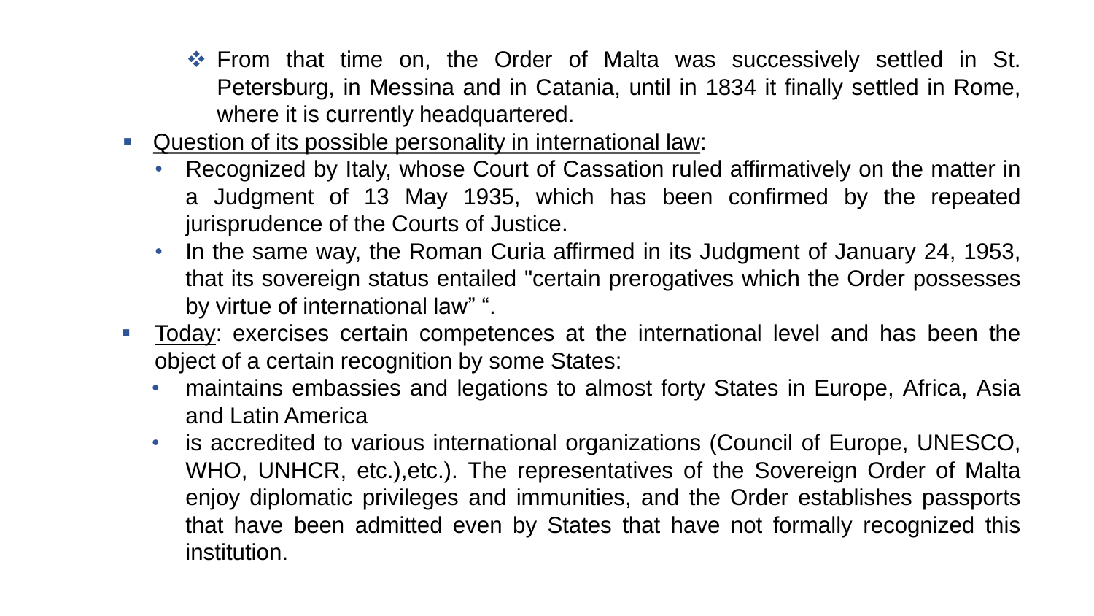- ❖ From that time on, the Order of Malta was successively settled in St. Petersburg, in Messina and in Catania, until in 1834 it finally settled in Rome, where it is currently headquartered.
- Question of its possible personality in international law:
	- Recognized by Italy, whose Court of Cassation ruled affirmatively on the matter in a Judgment of 13 May 1935, which has been confirmed by the repeated jurisprudence of the Courts of Justice.
	- In the same way, the Roman Curia affirmed in its Judgment of January 24, 1953, that its sovereign status entailed "certain prerogatives which the Order possesses by virtue of international law" ".
- **Today:** exercises certain competences at the international level and has been the object of a certain recognition by some States:
	- maintains embassies and legations to almost forty States in Europe, Africa, Asia and Latin America
	- is accredited to various international organizations (Council of Europe, UNESCO, WHO, UNHCR, etc.),etc.). The representatives of the Sovereign Order of Malta enjoy diplomatic privileges and immunities, and the Order establishes passports that have been admitted even by States that have not formally recognized this institution.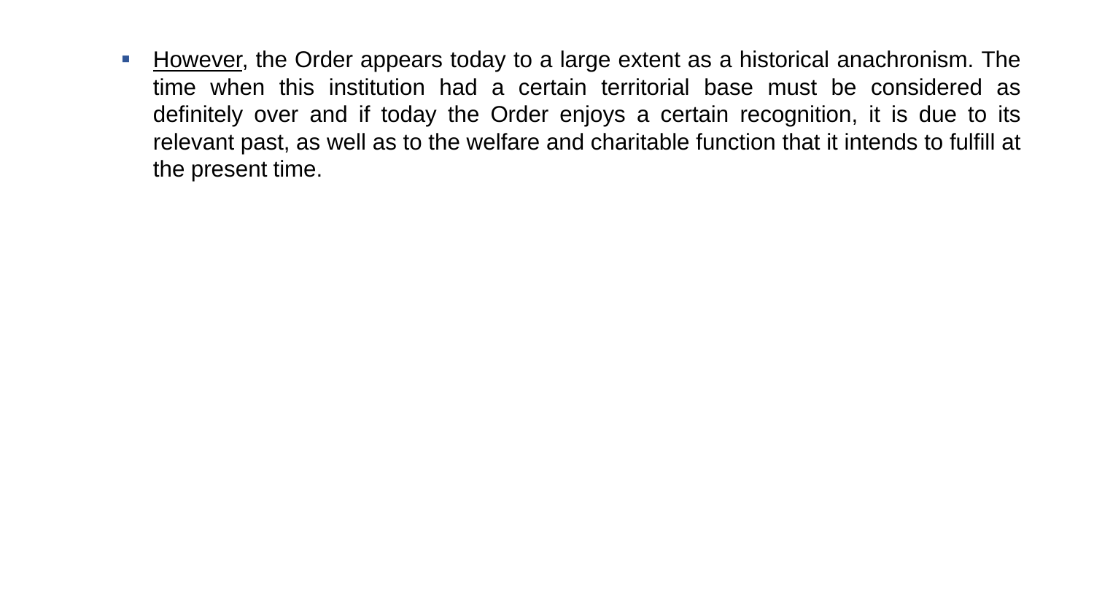**E** However, the Order appears today to a large extent as a historical anachronism. The time when this institution had a certain territorial base must be considered as definitely over and if today the Order enjoys a certain recognition, it is due to its relevant past, as well as to the welfare and charitable function that it intends to fulfill at the present time.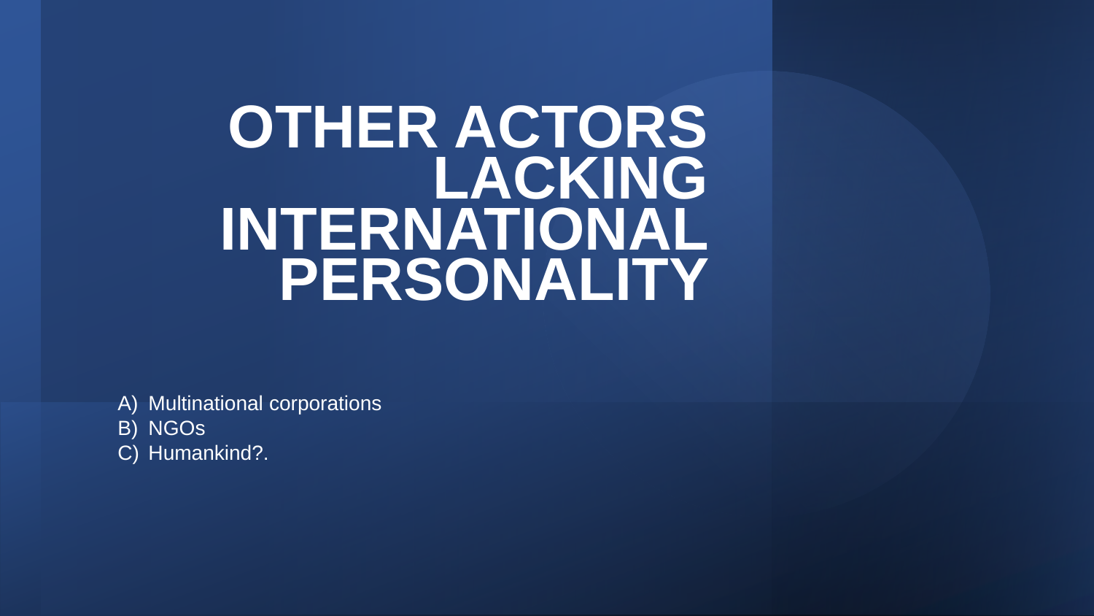# **OTHER ACTORS LACKING INTERNATIONAL PERSONALITY**

A) Multinational corporations

- B) NGOs
- C) Humankind?.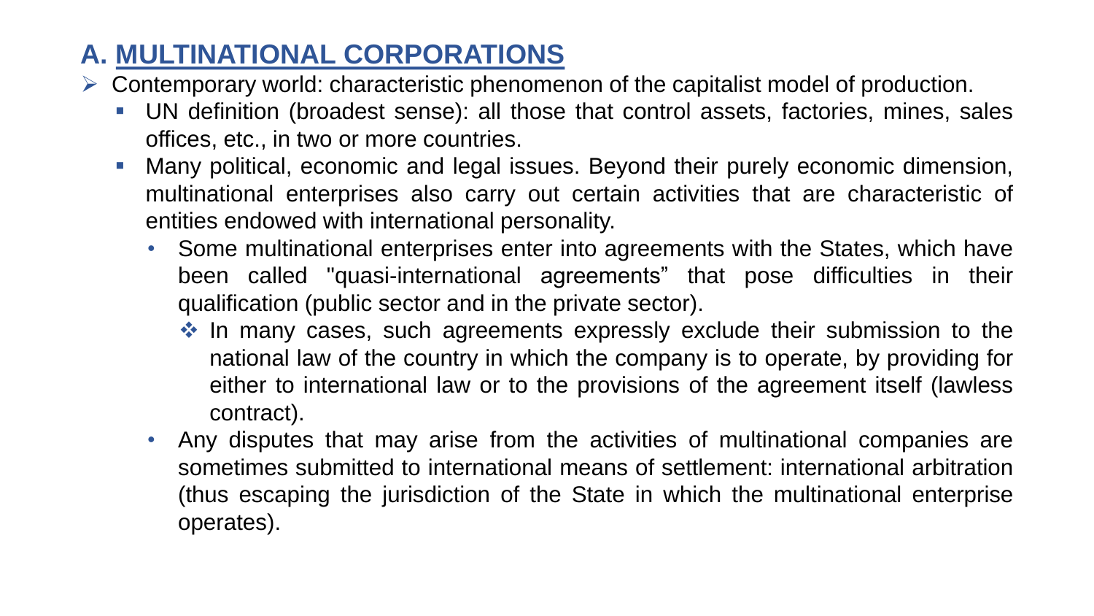# **A. MULTINATIONAL CORPORATIONS**

- ➢ Contemporary world: characteristic phenomenon of the capitalist model of production.
	- UN definition (broadest sense): all those that control assets, factories, mines, sales offices, etc., in two or more countries.
	- Many political, economic and legal issues. Beyond their purely economic dimension, multinational enterprises also carry out certain activities that are characteristic of entities endowed with international personality.
		- Some multinational enterprises enter into agreements with the States, which have been called "quasi-international agreements" that pose difficulties in their qualification (public sector and in the private sector).
			- ❖ In many cases, such agreements expressly exclude their submission to the national law of the country in which the company is to operate, by providing for either to international law or to the provisions of the agreement itself (lawless contract).
		- Any disputes that may arise from the activities of multinational companies are sometimes submitted to international means of settlement: international arbitration (thus escaping the jurisdiction of the State in which the multinational enterprise operates).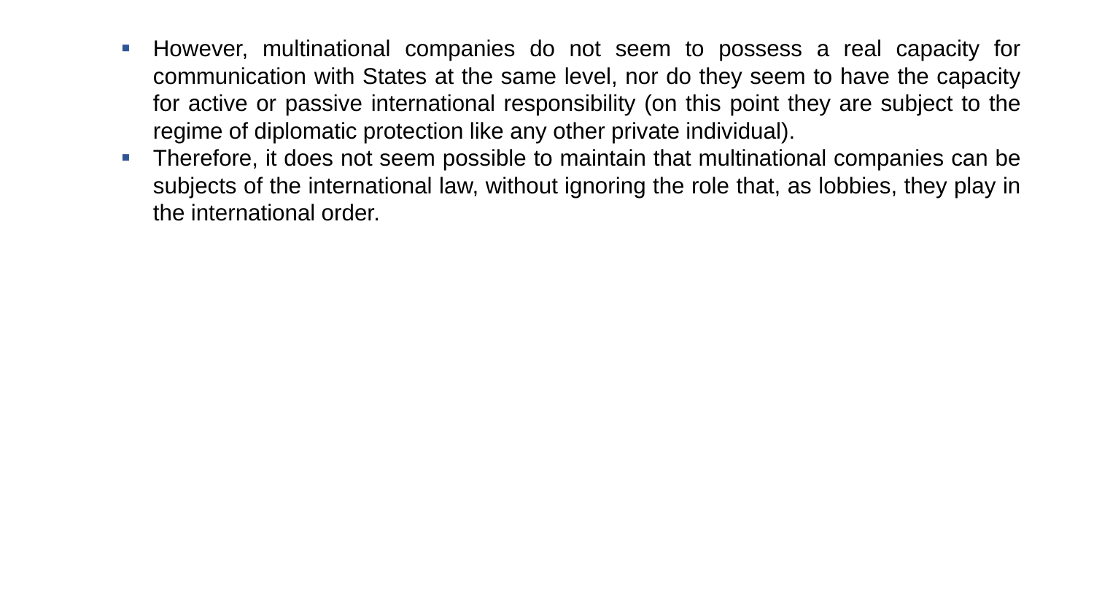- **EXT** However, multinational companies do not seem to possess a real capacity for communication with States at the same level, nor do they seem to have the capacity for active or passive international responsibility (on this point they are subject to the regime of diplomatic protection like any other private individual).
- **•** Therefore, it does not seem possible to maintain that multinational companies can be subjects of the international law, without ignoring the role that, as lobbies, they play in the international order.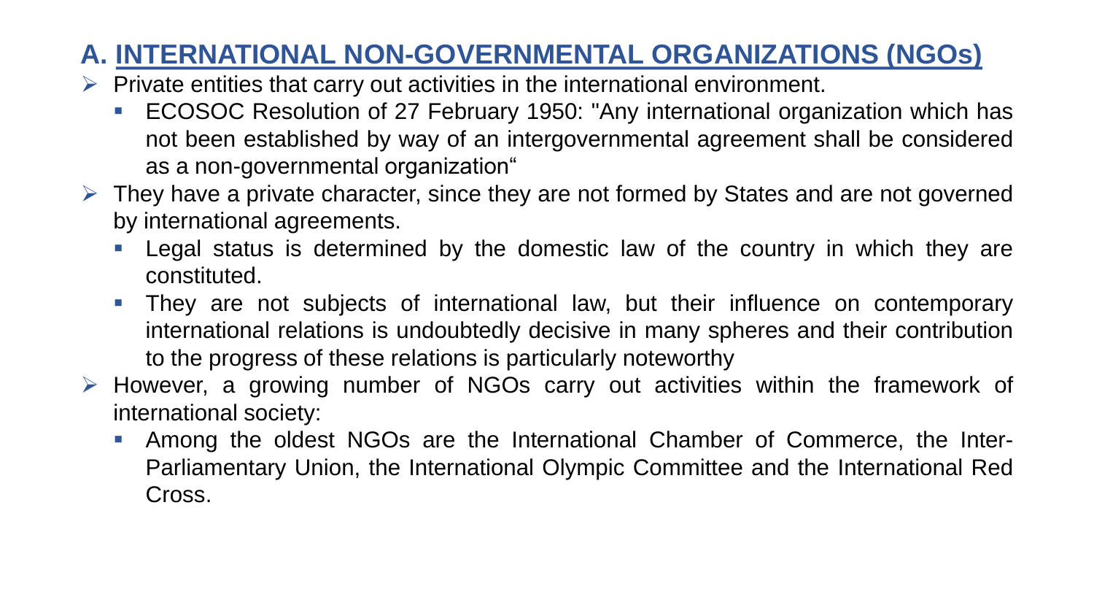# **A. INTERNATIONAL NON-GOVERNMENTAL ORGANIZATIONS (NGOs)**

- $\triangleright$  Private entities that carry out activities in the international environment.
	- ECOSOC Resolution of 27 February 1950: "Any international organization which has not been established by way of an intergovernmental agreement shall be considered as a non-governmental organization"
- $\triangleright$  They have a private character, since they are not formed by States and are not governed by international agreements.
	- Legal status is determined by the domestic law of the country in which they are constituted.
	- They are not subjects of international law, but their influence on contemporary international relations is undoubtedly decisive in many spheres and their contribution to the progress of these relations is particularly noteworthy
- ➢ However, a growing number of NGOs carry out activities within the framework of international society:
	- Among the oldest NGOs are the International Chamber of Commerce, the Inter-Parliamentary Union, the International Olympic Committee and the International Red Cross.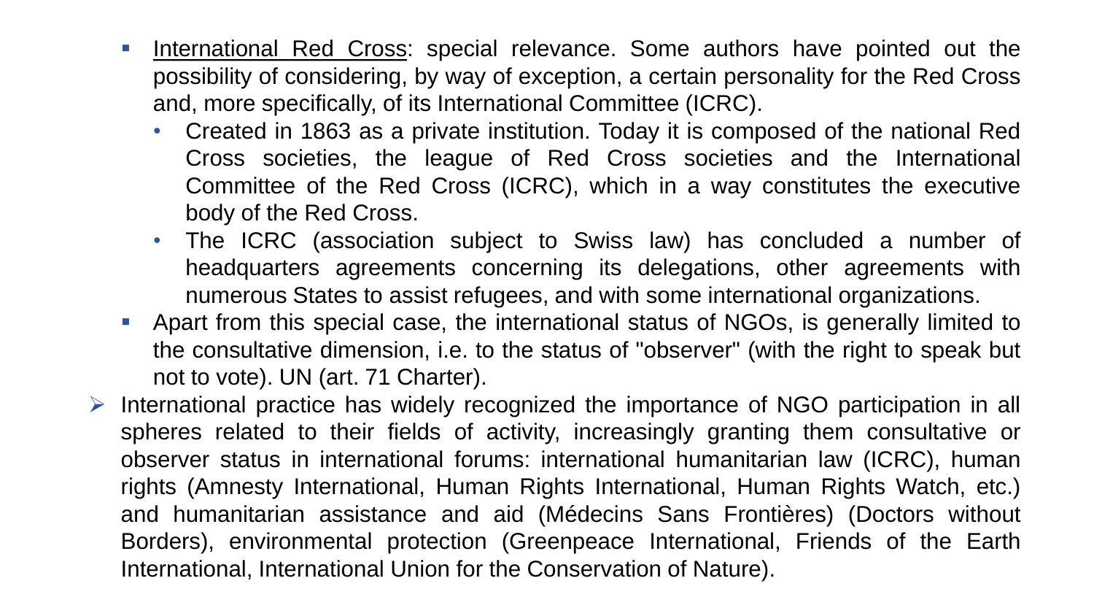- **EXT** International Red Cross: special relevance. Some authors have pointed out the possibility of considering, by way of exception, a certain personality for the Red Cross and, more specifically, of its International Committee (ICRC).
	- Created in 1863 as a private institution. Today it is composed of the national Red Cross societies, the league of Red Cross societies and the International Committee of the Red Cross (ICRC), which in a way constitutes the executive body of the Red Cross.
	- The ICRC (association subject to Swiss law) has concluded a number of headquarters agreements concerning its delegations, other agreements with numerous States to assist refugees, and with some international organizations.
- Apart from this special case, the international status of NGOs, is generally limited to the consultative dimension, i.e. to the status of "observer" (with the right to speak but not to vote). UN (art. 71 Charter).
- ➢ International practice has widely recognized the importance of NGO participation in all spheres related to their fields of activity, increasingly granting them consultative or observer status in international forums: international humanitarian law (ICRC), human rights (Amnesty International, Human Rights International, Human Rights Watch, etc.) and humanitarian assistance and aid (Médecins Sans Frontières) (Doctors without Borders), environmental protection (Greenpeace International, Friends of the Earth International, International Union for the Conservation of Nature).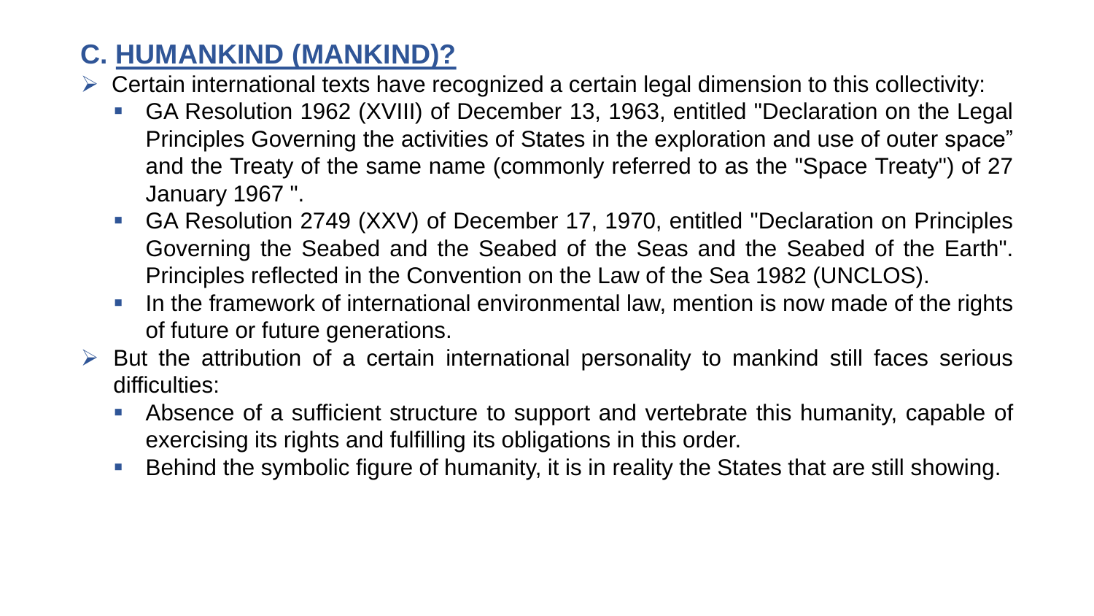# **C. HUMANKIND (MANKIND)?**

- $\triangleright$  Certain international texts have recognized a certain legal dimension to this collectivity:
	- GA Resolution 1962 (XVIII) of December 13, 1963, entitled "Declaration on the Legal Principles Governing the activities of States in the exploration and use of outer space" and the Treaty of the same name (commonly referred to as the "Space Treaty") of 27 January 1967 ".
	- GA Resolution 2749 (XXV) of December 17, 1970, entitled "Declaration on Principles Governing the Seabed and the Seabed of the Seas and the Seabed of the Earth". Principles reflected in the Convention on the Law of the Sea 1982 (UNCLOS).
	- **In the framework of international environmental law, mention is now made of the rights** of future or future generations.
- $\triangleright$  But the attribution of a certain international personality to mankind still faces serious difficulties:
	- Absence of a sufficient structure to support and vertebrate this humanity, capable of exercising its rights and fulfilling its obligations in this order.
	- Behind the symbolic figure of humanity, it is in reality the States that are still showing.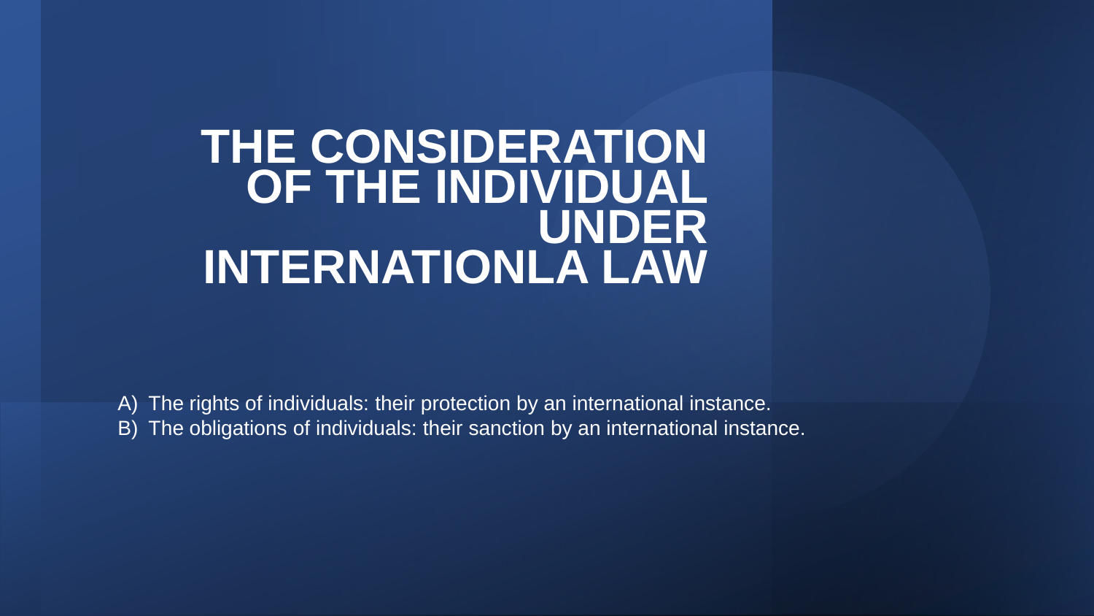# **THE CONSIDERATION OF THE INDIVIDUAL UNDER INTERNATIONLA LAW**

A) The rights of individuals: their protection by an international instance. B) The obligations of individuals: their sanction by an international instance.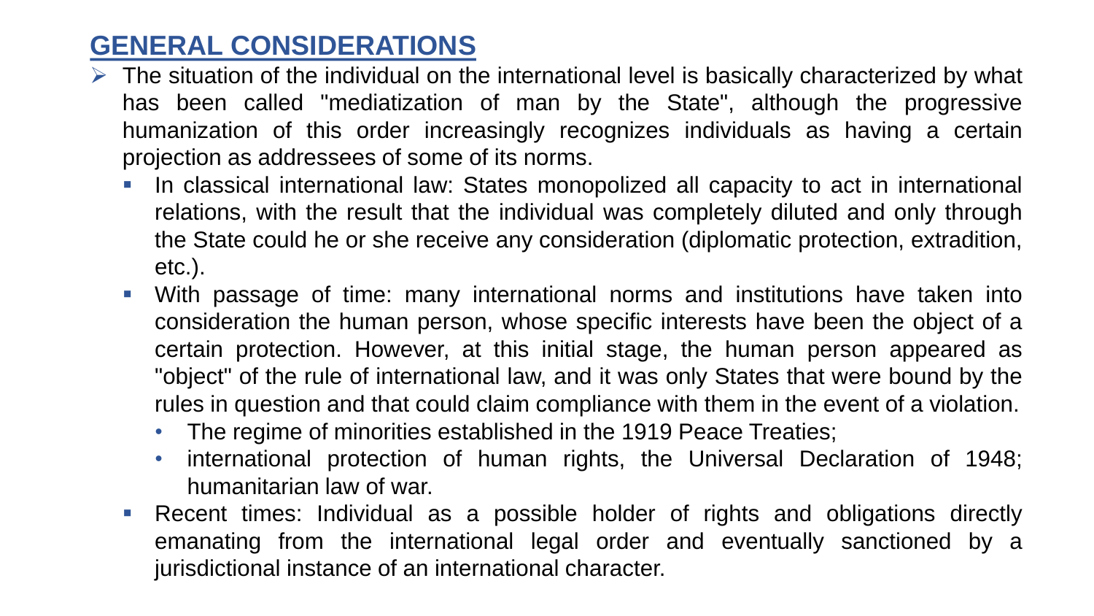### **GENERAL CONSIDERATIONS**

- $\triangleright$  The situation of the individual on the international level is basically characterized by what has been called "mediatization of man by the State", although the progressive humanization of this order increasingly recognizes individuals as having a certain projection as addressees of some of its norms.
	- **•** In classical international law: States monopolized all capacity to act in international relations, with the result that the individual was completely diluted and only through the State could he or she receive any consideration (diplomatic protection, extradition, etc.).
	- **With passage of time: many international norms and institutions have taken into** consideration the human person, whose specific interests have been the object of a certain protection. However, at this initial stage, the human person appeared as "object" of the rule of international law, and it was only States that were bound by the rules in question and that could claim compliance with them in the event of a violation.
		- The regime of minorities established in the 1919 Peace Treaties;
		- international protection of human rights, the Universal Declaration of 1948; humanitarian law of war.
	- Recent times: Individual as a possible holder of rights and obligations directly emanating from the international legal order and eventually sanctioned by a jurisdictional instance of an international character.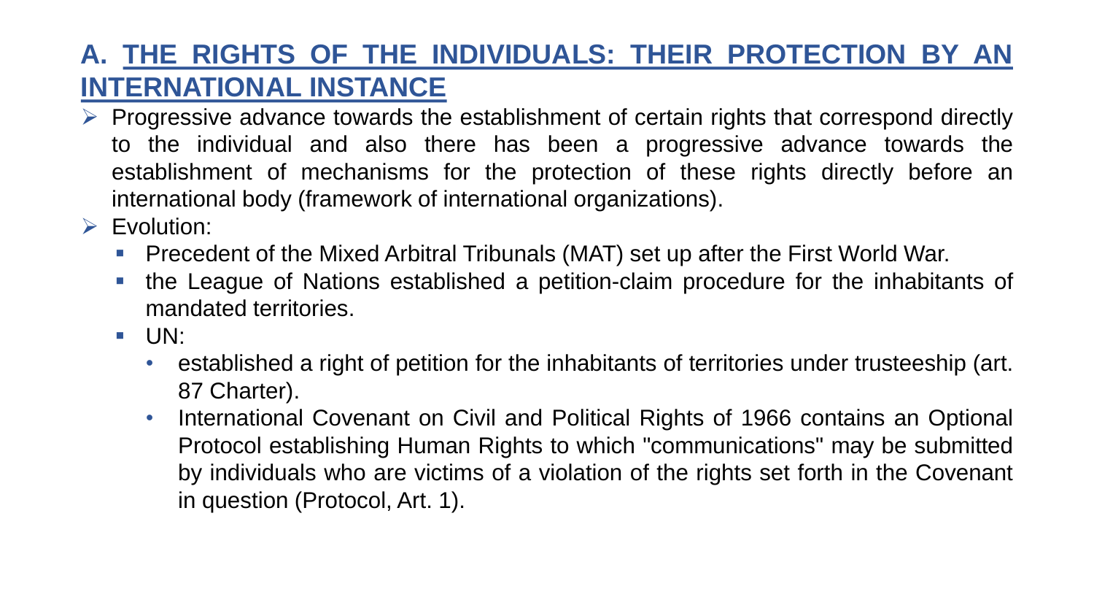# **A. THE RIGHTS OF THE INDIVIDUALS: THEIR PROTECTION BY AN INTERNATIONAL INSTANCE**

- ➢ Progressive advance towards the establishment of certain rights that correspond directly to the individual and also there has been a progressive advance towards the establishment of mechanisms for the protection of these rights directly before an international body (framework of international organizations).
- ➢ Evolution:
	- Precedent of the Mixed Arbitral Tribunals (MAT) set up after the First World War.
	- the League of Nations established a petition-claim procedure for the inhabitants of mandated territories.
	- UN:
		- established a right of petition for the inhabitants of territories under trusteeship (art. 87 Charter).
		- International Covenant on Civil and Political Rights of 1966 contains an Optional Protocol establishing Human Rights to which "communications" may be submitted by individuals who are victims of a violation of the rights set forth in the Covenant in question (Protocol, Art. 1).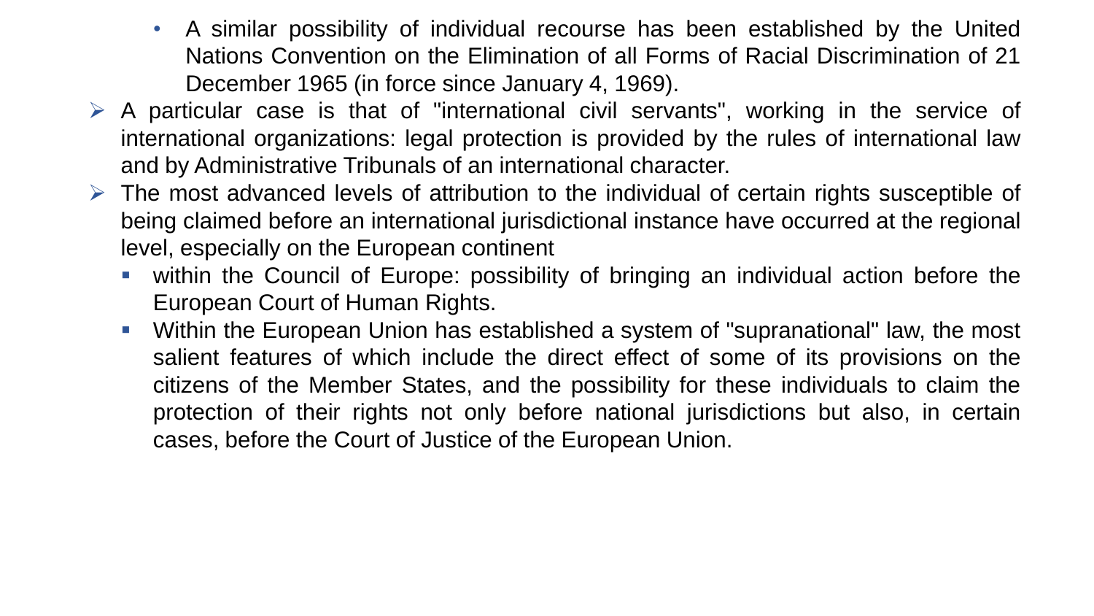- A similar possibility of individual recourse has been established by the United Nations Convention on the Elimination of all Forms of Racial Discrimination of 21 December 1965 (in force since January 4, 1969).
- $\triangleright$  A particular case is that of "international civil servants", working in the service of international organizations: legal protection is provided by the rules of international law and by Administrative Tribunals of an international character.
- $\triangleright$  The most advanced levels of attribution to the individual of certain rights susceptible of being claimed before an international jurisdictional instance have occurred at the regional level, especially on the European continent
	- within the Council of Europe: possibility of bringing an individual action before the European Court of Human Rights.
	- Within the European Union has established a system of "supranational" law, the most salient features of which include the direct effect of some of its provisions on the citizens of the Member States, and the possibility for these individuals to claim the protection of their rights not only before national jurisdictions but also, in certain cases, before the Court of Justice of the European Union.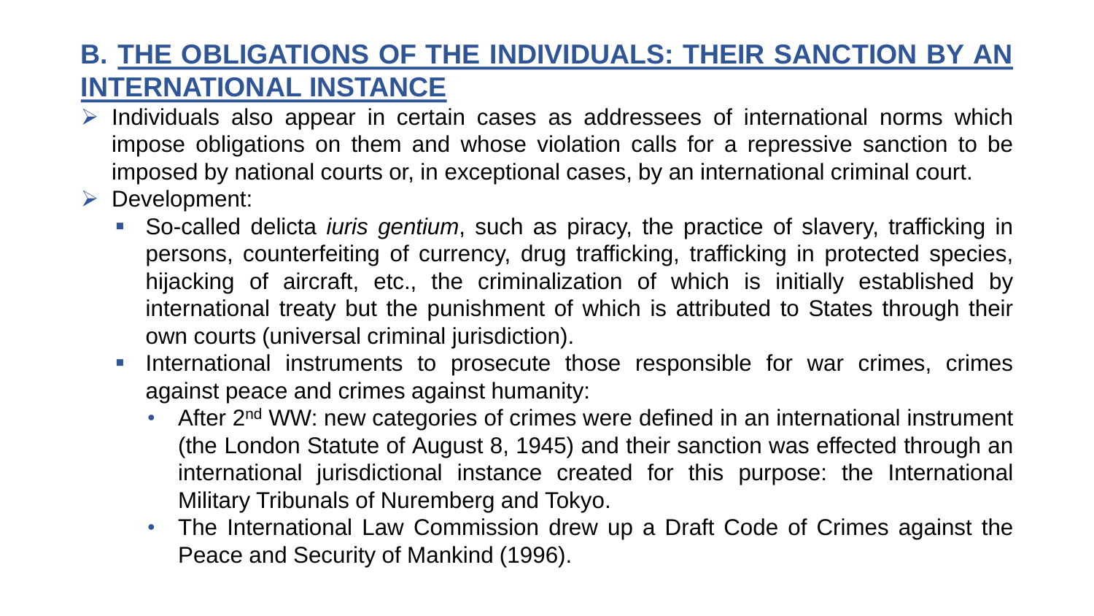# **B. THE OBLIGATIONS OF THE INDIVIDUALS: THEIR SANCTION BY AN INTERNATIONAL INSTANCE**

- ➢ Individuals also appear in certain cases as addressees of international norms which impose obligations on them and whose violation calls for a repressive sanction to be imposed by national courts or, in exceptional cases, by an international criminal court.
- ➢ Development:
	- So-called delicta *iuris gentium*, such as piracy, the practice of slavery, trafficking in persons, counterfeiting of currency, drug trafficking, trafficking in protected species, hijacking of aircraft, etc., the criminalization of which is initially established by international treaty but the punishment of which is attributed to States through their own courts (universal criminal jurisdiction).
	- International instruments to prosecute those responsible for war crimes, crimes against peace and crimes against humanity:
		- After 2<sup>nd</sup> WW: new categories of crimes were defined in an international instrument (the London Statute of August 8, 1945) and their sanction was effected through an international jurisdictional instance created for this purpose: the International Military Tribunals of Nuremberg and Tokyo.
		- The International Law Commission drew up a Draft Code of Crimes against the Peace and Security of Mankind (1996).